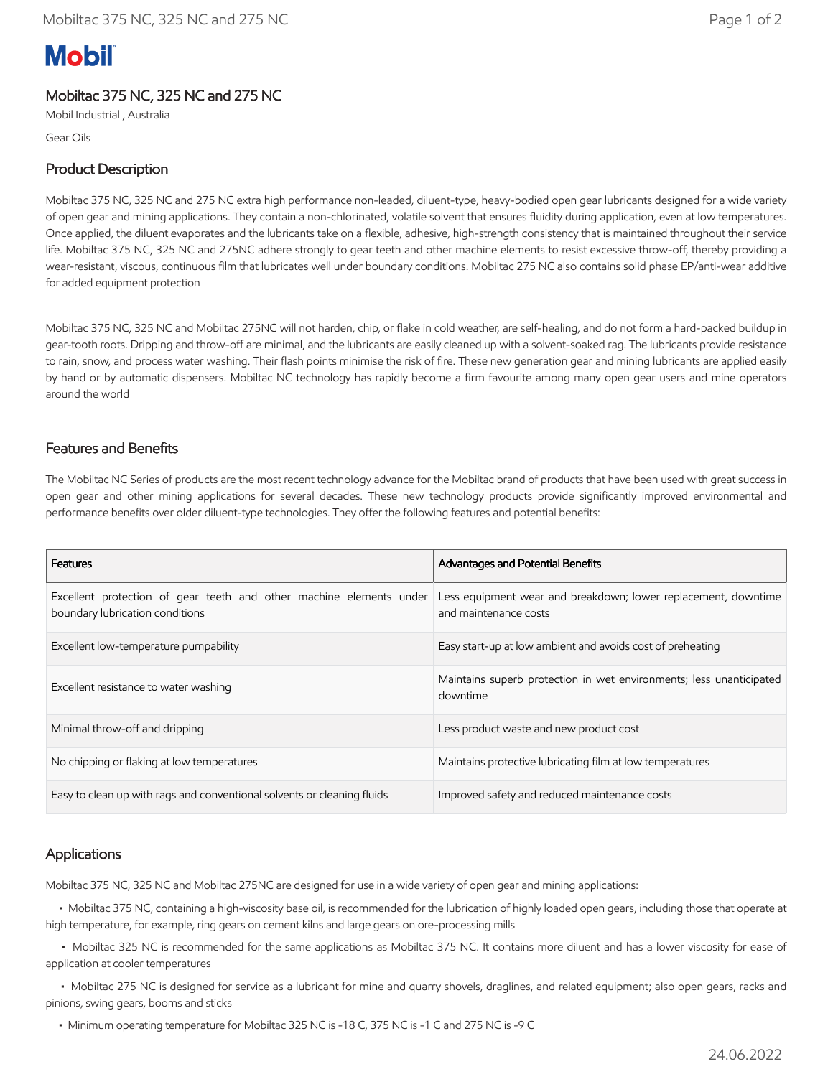# **Mobil**

### Mobiltac 375 NC, 325 NC and 275 NC

Mobil Industrial , Australia

Gear Oils

#### Product Description

Mobiltac 375 NC, 325 NC and 275 NC extra high performance non-leaded, diluent-type, heavy-bodied open gear lubricants designed for a wide variety of open gear and mining applications. They contain a non-chlorinated, volatile solvent that ensures fluidity during application, even at low temperatures. Once applied, the diluent evaporates and the lubricants take on a flexible, adhesive, high-strength consistency that is maintained throughout their service life. Mobiltac 375 NC, 325 NC and 275NC adhere strongly to gear teeth and other machine elements to resist excessive throw-off, thereby providing a wear-resistant, viscous, continuous film that lubricates well under boundary conditions. Mobiltac 275 NC also contains solid phase EP/anti-wear additive for added equipment protection

Mobiltac 375 NC, 325 NC and Mobiltac 275NC will not harden, chip, or flake in cold weather, are self-healing, and do not form a hard-packed buildup in gear-tooth roots. Dripping and throw-off are minimal, and the lubricants are easily cleaned up with a solvent-soaked rag. The lubricants provide resistance to rain, snow, and process water washing. Their flash points minimise the risk of fire. These new generation gear and mining lubricants are applied easily by hand or by automatic dispensers. Mobiltac NC technology has rapidly become a firm favourite among many open gear users and mine operators around the world

#### Features and Benefits

The Mobiltac NC Series of products are the most recent technology advance for the Mobiltac brand of products that have been used with great success in open gear and other mining applications for several decades. These new technology products provide significantly improved environmental and performance benefits over older diluent-type technologies. They offer the following features and potential benefits:

| <b>Features</b>                                                                                        | Advantages and Potential Benefits                                                       |  |
|--------------------------------------------------------------------------------------------------------|-----------------------------------------------------------------------------------------|--|
| Excellent protection of gear teeth and other machine elements under<br>boundary lubrication conditions | Less equipment wear and breakdown; lower replacement, downtime<br>and maintenance costs |  |
| Excellent low-temperature pumpability                                                                  | Easy start-up at low ambient and avoids cost of preheating                              |  |
| Excellent resistance to water washing                                                                  | Maintains superb protection in wet environments; less unanticipated<br>downtime         |  |
| Minimal throw-off and dripping                                                                         | Less product waste and new product cost                                                 |  |
| No chipping or flaking at low temperatures                                                             | Maintains protective lubricating film at low temperatures                               |  |
| Easy to clean up with rags and conventional solvents or cleaning fluids                                | Improved safety and reduced maintenance costs                                           |  |

#### Applications

Mobiltac 375 NC, 325 NC and Mobiltac 275NC are designed for use in a wide variety of open gear and mining applications:

 • Mobiltac 375 NC, containing a high-viscosity base oil, is recommended for the lubrication of highly loaded open gears, including those that operate at high temperature, for example, ring gears on cement kilns and large gears on ore-processing mills

 • Mobiltac 325 NC is recommended for the same applications as Mobiltac 375 NC. It contains more diluent and has a lower viscosity for ease of application at cooler temperatures

 • Mobiltac 275 NC is designed for service as a lubricant for mine and quarry shovels, draglines, and related equipment; also open gears, racks and pinions, swing gears, booms and sticks

• Minimum operating temperature for Mobiltac 325 NC is -18 C, 375 NC is -1 C and 275 NC is -9 C